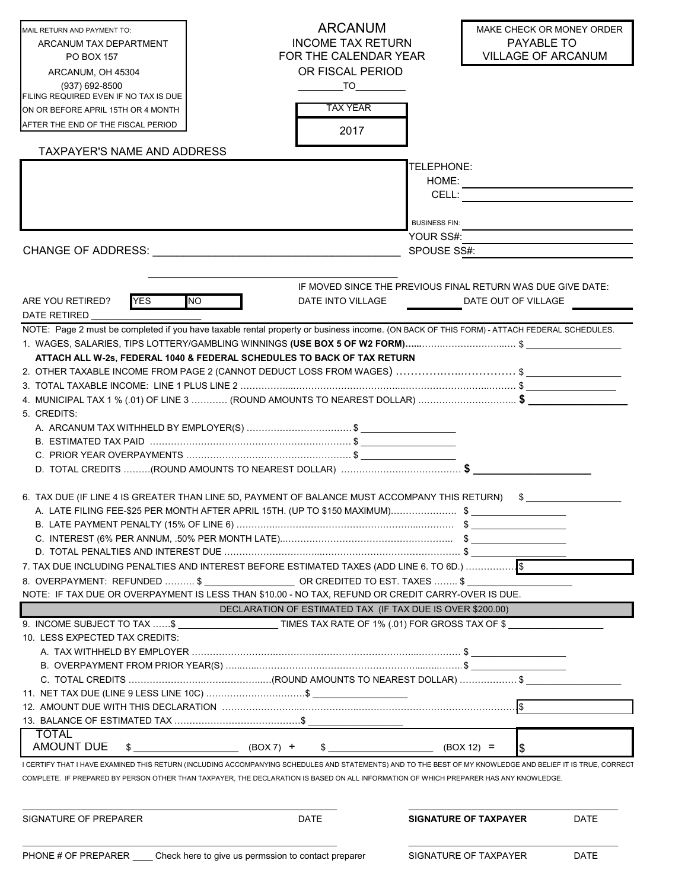| MAIL RETURN AND PAYMENT TO:                 | <b>ARCANUM</b>                                                                                                                                              |                              | MAKE CHECK OR MONEY ORDER                                   |
|---------------------------------------------|-------------------------------------------------------------------------------------------------------------------------------------------------------------|------------------------------|-------------------------------------------------------------|
| ARCANUM TAX DEPARTMENT                      | <b>INCOME TAX RETURN</b>                                                                                                                                    |                              | PAYABLE TO                                                  |
| PO BOX 157                                  | FOR THE CALENDAR YEAR                                                                                                                                       |                              | <b>VILLAGE OF ARCANUM</b>                                   |
| ARCANUM, OH 45304                           | OR FISCAL PERIOD                                                                                                                                            |                              |                                                             |
| (937) 692-8500                              | TO                                                                                                                                                          |                              |                                                             |
| FILING REQUIRED EVEN IF NO TAX IS DUE       |                                                                                                                                                             |                              |                                                             |
| ON OR BEFORE APRIL 15TH OR 4 MONTH          | <b>TAX YEAR</b>                                                                                                                                             |                              |                                                             |
| AFTER THE END OF THE FISCAL PERIOD          | 2017                                                                                                                                                        |                              |                                                             |
| TAXPAYER'S NAME AND ADDRESS                 |                                                                                                                                                             |                              |                                                             |
|                                             |                                                                                                                                                             | TELEPHONE:                   |                                                             |
|                                             |                                                                                                                                                             | HOME:                        |                                                             |
|                                             |                                                                                                                                                             | CELL:                        |                                                             |
|                                             |                                                                                                                                                             |                              |                                                             |
|                                             |                                                                                                                                                             | <b>BUSINESS FIN:</b>         |                                                             |
|                                             |                                                                                                                                                             | YOUR SS#:<br>SPOUSE SS#:     |                                                             |
| <b>CHANGE OF ADDRESS:</b>                   |                                                                                                                                                             |                              |                                                             |
|                                             |                                                                                                                                                             |                              |                                                             |
|                                             |                                                                                                                                                             |                              | IF MOVED SINCE THE PREVIOUS FINAL RETURN WAS DUE GIVE DATE: |
| <b>YES</b><br><b>NO</b><br>ARE YOU RETIRED? | DATE INTO VILLAGE                                                                                                                                           |                              | DATE OUT OF VILLAGE                                         |
| <b>DATE RETIRED</b>                         |                                                                                                                                                             |                              |                                                             |
|                                             | NOTE: Page 2 must be completed if you have taxable rental property or business income. (ON BACK OF THIS FORM) - ATTACH FEDERAL SCHEDULES.                   |                              |                                                             |
|                                             |                                                                                                                                                             |                              |                                                             |
|                                             | ATTACH ALL W-2s, FEDERAL 1040 & FEDERAL SCHEDULES TO BACK OF TAX RETURN<br>2. OTHER TAXABLE INCOME FROM PAGE 2 (CANNOT DEDUCT LOSS FROM WAGES) \$           |                              |                                                             |
|                                             |                                                                                                                                                             |                              |                                                             |
|                                             | 4. MUNICIPAL TAX 1 % (.01) OF LINE 3 ………… (ROUND AMOUNTS TO NEAREST DOLLAR) ……………………………… $$$                                                                |                              |                                                             |
| 5. CREDITS:                                 |                                                                                                                                                             |                              |                                                             |
|                                             |                                                                                                                                                             |                              |                                                             |
|                                             |                                                                                                                                                             |                              |                                                             |
|                                             |                                                                                                                                                             |                              |                                                             |
|                                             |                                                                                                                                                             |                              |                                                             |
|                                             |                                                                                                                                                             |                              |                                                             |
|                                             | 6. TAX DUE (IF LINE 4 IS GREATER THAN LINE 5D, PAYMENT OF BALANCE MUST ACCOMPANY THIS RETURN) \$                                                            |                              |                                                             |
|                                             | A. LATE FILING FEE-\$25 PER MONTH AFTER APRIL 15TH. (UP TO \$150 MAXIMUM)\$                                                                                 |                              |                                                             |
|                                             |                                                                                                                                                             |                              |                                                             |
|                                             |                                                                                                                                                             |                              |                                                             |
|                                             |                                                                                                                                                             |                              |                                                             |
|                                             | 7. TAX DUE INCLUDING PENALTIES AND INTEREST BEFORE ESTIMATED TAXES (ADD LINE 6. TO 6D.)                                                                     |                              |                                                             |
|                                             | 8. OVERPAYMENT: REFUNDED  \$ ____________________OR CREDITED TO EST. TAXES  \$                                                                              |                              |                                                             |
|                                             | NOTE: IF TAX DUE OR OVERPAYMENT IS LESS THAN \$10.00 - NO TAX, REFUND OR CREDIT CARRY-OVER IS DUE.                                                          |                              |                                                             |
|                                             | DECLARATION OF ESTIMATED TAX (IF TAX DUE IS OVER \$200.00)                                                                                                  |                              |                                                             |
|                                             | 9. INCOME SUBJECT TO TAX \$ TIMES TAX RATE OF 1% (.01) FOR GROSS TAX OF \$                                                                                  |                              |                                                             |
| 10. LESS EXPECTED TAX CREDITS:              |                                                                                                                                                             |                              |                                                             |
|                                             |                                                                                                                                                             |                              |                                                             |
|                                             |                                                                                                                                                             |                              |                                                             |
|                                             |                                                                                                                                                             |                              |                                                             |
|                                             |                                                                                                                                                             |                              |                                                             |
|                                             |                                                                                                                                                             |                              |                                                             |
| <b>TOTAL</b>                                |                                                                                                                                                             |                              |                                                             |
| <b>AMOUNT DUE</b><br>S.                     | $(BOX 7)$ +<br>S.                                                                                                                                           | $(BOX 12) =$                 |                                                             |
|                                             | I CERTIFY THAT I HAVE EXAMINED THIS RETURN (INCLUDING ACCOMPANYING SCHEDULES AND STATEMENTS) AND TO THE BEST OF MY KNOWLEDGE AND BELIEF IT IS TRUE, CORRECT |                              |                                                             |
|                                             | COMPLETE. IF PREPARED BY PERSON OTHER THAN TAXPAYER, THE DECLARATION IS BASED ON ALL INFORMATION OF WHICH PREPARER HAS ANY KNOWLEDGE.                       |                              |                                                             |
|                                             |                                                                                                                                                             |                              |                                                             |
|                                             |                                                                                                                                                             |                              |                                                             |
| SIGNATURE OF PREPARER                       | DATE                                                                                                                                                        | <b>SIGNATURE OF TAXPAYER</b> | DATE                                                        |
|                                             |                                                                                                                                                             |                              |                                                             |

\_\_\_\_\_\_\_\_\_\_\_\_\_\_\_\_\_\_\_\_\_\_\_\_\_\_\_\_\_\_\_\_\_\_\_\_\_\_\_\_\_\_\_\_\_\_\_\_\_\_\_\_\_\_\_\_\_\_\_\_\_\_\_ \_\_\_\_\_\_\_\_\_\_\_\_\_\_\_\_\_\_\_\_\_\_\_\_\_\_\_\_\_\_\_\_\_\_\_\_\_\_\_\_\_\_